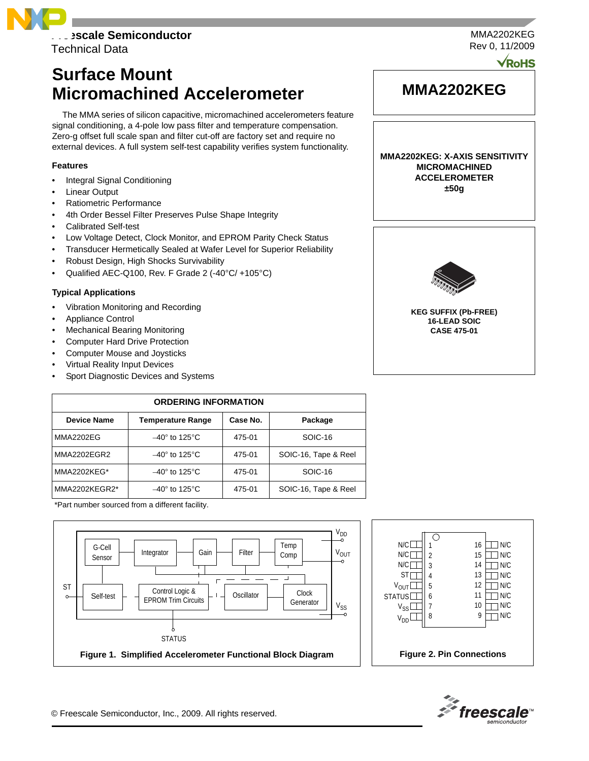

Technical Data

# **Surface Mount Micromachined Accelerometer**

The MMA series of silicon capacitive, micromachined accelerometers feature signal conditioning, a 4-pole low pass filter and temperature compensation. Zero-g offset full scale span and filter cut-off are factory set and require no external devices. A full system self-test capability verifies system functionality.

# **Features**

- Integral Signal Conditioning
- **Linear Output**
- Ratiometric Performance
- 4th Order Bessel Filter Preserves Pulse Shape Integrity
- Calibrated Self-test
- Low Voltage Detect, Clock Monitor, and EPROM Parity Check Status
- Transducer Hermetically Sealed at Wafer Level for Superior Reliability
- Robust Design, High Shocks Survivability
- Qualified AEC-Q100, Rev. F Grade 2 (-40°C/ +105°C)

# **Typical Applications**

- Vibration Monitoring and Recording
- Appliance Control
- Mechanical Bearing Monitoring
- Computer Hard Drive Protection
- Computer Mouse and Joysticks
- Virtual Reality Input Devices
- Sport Diagnostic Devices and Systems

| <b>ORDERING INFORMATION</b> |                               |          |                      |  |
|-----------------------------|-------------------------------|----------|----------------------|--|
| <b>Device Name</b>          | <b>Temperature Range</b>      | Case No. | Package              |  |
| <b>MMA2202EG</b>            | $-40^\circ$ to 125 $^\circ$ C | 475-01   | SOIC-16              |  |
| MMA2202EGR2                 | $-40^\circ$ to 125 $^\circ$ C | 475-01   | SOIC-16, Tape & Reel |  |
| MMA2202KEG*                 | $-40^\circ$ to 125°C          | 475-01   | SOIC-16              |  |
| MMA2202KEGR2*               | $-40^\circ$ to 125 $^\circ$ C | 475-01   | SOIC-16, Tape & Reel |  |

\*Part number sourced from a different facility.







Rev 0, 11/2009 **VRoHS** 

MMA2202KEG

# **MMA2202KEG**

**MMA2202KEG: X-AXIS SENSITIVITY MICROMACHINED ACCELEROMETER ±50g**



**KEG SUFFIX (Pb-FREE) 16-LEAD SOIC CASE 475-01**

© Freescale Semiconductor, Inc., 2009. All rights reserved.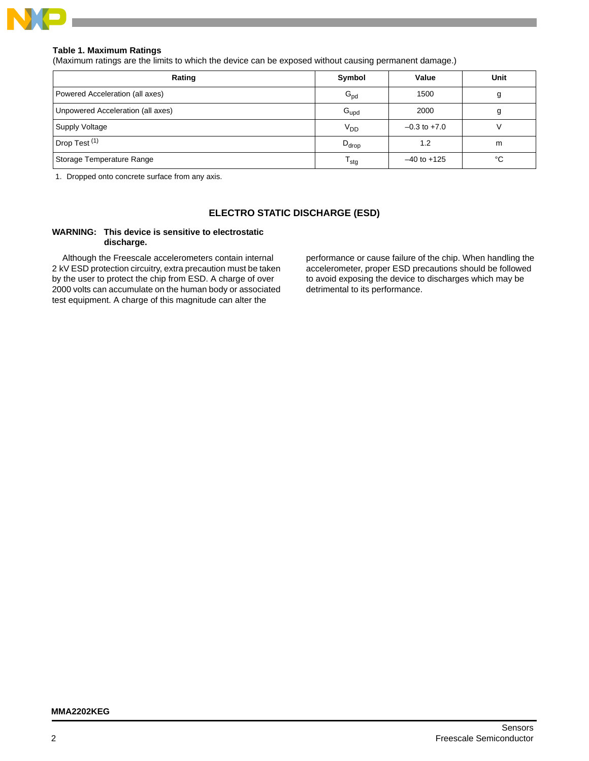

## **Table 1. Maximum Ratings**

(Maximum ratings are the limits to which the device can be exposed without causing permanent damage.)

| Rating                            | Symbol            | Value            | Unit |
|-----------------------------------|-------------------|------------------|------|
| Powered Acceleration (all axes)   | $G_{\text{pd}}$   | 1500             |      |
| Unpowered Acceleration (all axes) | $G_{\text{upd}}$  | 2000             |      |
| <b>Supply Voltage</b>             | V <sub>DD</sub>   | $-0.3$ to $+7.0$ |      |
| Drop Test <sup>(1)</sup>          | $D_{\text{drop}}$ | 1.2              | m    |
| Storage Temperature Range         | <sup>I</sup> stg  | $-40$ to $+125$  | °C   |

1. Dropped onto concrete surface from any axis.

# **ELECTRO STATIC DISCHARGE (ESD)**

## **WARNING: This device is sensitive to electrostatic discharge.**

Although the Freescale accelerometers contain internal 2 kV ESD protection circuitry, extra precaution must be taken by the user to protect the chip from ESD. A charge of over 2000 volts can accumulate on the human body or associated test equipment. A charge of this magnitude can alter the

performance or cause failure of the chip. When handling the accelerometer, proper ESD precautions should be followed to avoid exposing the device to discharges which may be detrimental to its performance.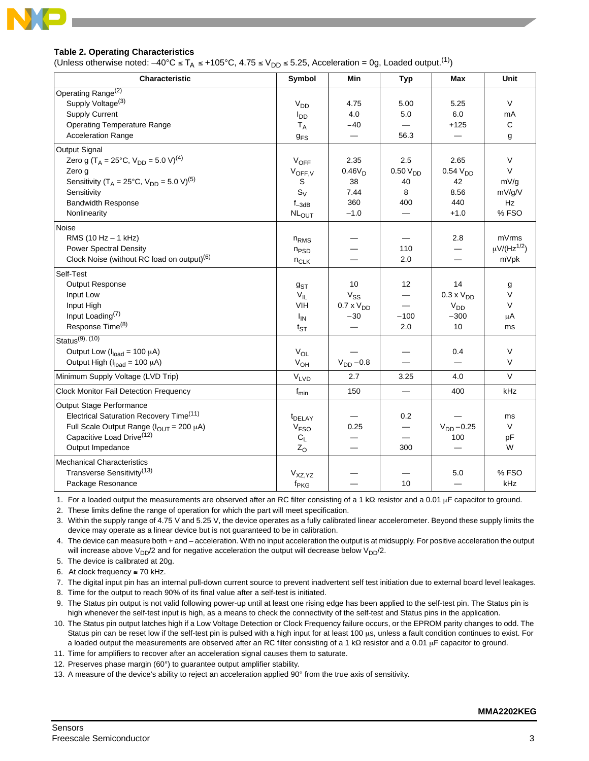

## **Table 2. Operating Characteristics**

(Unless otherwise noted:  $-40^{\circ}$ C ≤ T<sub>A</sub> ≤ +105°C, 4.75 ≤ V<sub>DD</sub> ≤ 5.25, Acceleration = 0g, Loaded output.<sup>(1)</sup>)

| Characteristic                                                         | Symbol                | Min                 | <b>Typ</b>           | Max                 | Unit                         |
|------------------------------------------------------------------------|-----------------------|---------------------|----------------------|---------------------|------------------------------|
| Operating Range <sup>(2)</sup>                                         |                       |                     |                      |                     |                              |
| Supply Voltage <sup>(3)</sup>                                          | V <sub>DD</sub>       | 4.75                | 5.00                 | 5.25                | $\vee$                       |
| <b>Supply Current</b>                                                  | $I_{DD}$              | 4.0                 | 5.0                  | 6.0                 | mA                           |
| <b>Operating Temperature Range</b>                                     | $T_A$                 | $-40$               |                      | $+125$              | $\mathbf C$                  |
| <b>Acceleration Range</b>                                              | <b>g<sub>FS</sub></b> |                     | 56.3                 |                     | g                            |
| <b>Output Signal</b>                                                   |                       |                     |                      |                     |                              |
| Zero g (T <sub>A</sub> = 25°C, V <sub>DD</sub> = 5.0 V) <sup>(4)</sup> | $V_{OFF}$             | 2.35                | 2.5                  | 2.65                | $\vee$                       |
| Zero q                                                                 | $V_{OFF,V}$           | $0.46V_D$           | 0.50 V <sub>DD</sub> | 0.54V <sub>DD</sub> | V                            |
| Sensitivity (T <sub>A</sub> = 25°C, $V_{DD}$ = 5.0 V) <sup>(5)</sup>   | S                     | 38                  | 40                   | 42                  | mV/q                         |
| Sensitivity                                                            | $S_V$                 | 7.44                | 8                    | 8.56                | mV/g/V                       |
| <b>Bandwidth Response</b>                                              | $f_{-3dB}$            | 360                 | 400                  | 440                 | Hz                           |
| Nonlinearity                                                           | <b>NLOUT</b>          | $-1.0$              |                      | $+1.0$              | %FSO                         |
| Noise                                                                  |                       |                     |                      |                     |                              |
| RMS (10 Hz - 1 kHz)                                                    | $n_{RMS}$             |                     |                      | 2.8                 | mVrms                        |
| <b>Power Spectral Density</b>                                          | $n_{PSD}$             |                     | 110                  |                     | $\mu$ V/(Hz <sup>1/2</sup> ) |
| Clock Noise (without RC load on output) <sup>(6)</sup>                 | $n_{CLK}$             |                     | 2.0                  |                     | mVpk                         |
| Self-Test                                                              |                       |                     |                      |                     |                              |
| Output Response                                                        | 9sT                   | 10                  | 12                   | 14                  | g                            |
| Input Low                                                              | $V_{IL}$              | $V_{SS}$            |                      | $0.3 \times VDD$    | $\vee$                       |
| Input High                                                             | VIH                   | $0.7 \times V_{DD}$ |                      | V <sub>DD</sub>     | $\vee$                       |
| Input Loading <sup>(7)</sup>                                           | $I_{IN}$              | $-30$               | $-100$               | $-300$              | μA                           |
| Response Time <sup>(8)</sup>                                           | $t_{ST}$              |                     | 2.0                  | 10                  | ms                           |
| Status $(9)$ , $(10)$                                                  |                       |                     |                      |                     |                              |
| Output Low ( $I_{load} = 100 \mu A$ )                                  | $V_{OL}$              |                     |                      | 0.4                 | $\vee$                       |
| Output High ( $I_{load}$ = 100 $\mu$ A)                                | $V_{OH}$              | $V_{DD}$ -0.8       |                      |                     | $\vee$                       |
| Minimum Supply Voltage (LVD Trip)                                      | $V_{LVD}$             | 2.7                 | 3.25                 | 4.0                 | $\vee$                       |
| <b>Clock Monitor Fail Detection Frequency</b>                          | $f_{\text{min}}$      | 150                 | $\equiv$             | 400                 | kHz                          |
| Output Stage Performance                                               |                       |                     |                      |                     |                              |
| Electrical Saturation Recovery Time <sup>(11)</sup>                    | t <sub>DELAY</sub>    |                     | 0.2                  |                     | ms                           |
| Full Scale Output Range ( $I_{OUT}$ = 200 µA)                          | V <sub>FSO</sub>      | 0.25                | —                    | $V_{DD} - 0.25$     | V                            |
| Capacitive Load Drive <sup>(12)</sup>                                  | $C_L$                 |                     |                      | 100                 | рF                           |
| Output Impedance                                                       | $Z_{O}$               |                     | 300                  |                     | W                            |
| <b>Mechanical Characteristics</b>                                      |                       |                     |                      |                     |                              |
| Transverse Sensitivity <sup>(13)</sup>                                 | V <sub>XZ,YZ</sub>    |                     |                      | 5.0                 | % FSO                        |
| Package Resonance                                                      | f <sub>PKG</sub>      |                     | 10                   | $\equiv$            | kHz                          |

1. For a loaded output the measurements are observed after an RC filter consisting of a 1 kΩ resistor and a 0.01 μF capacitor to ground.

2. These limits define the range of operation for which the part will meet specification.

3. Within the supply range of 4.75 V and 5.25 V, the device operates as a fully calibrated linear accelerometer. Beyond these supply limits the device may operate as a linear device but is not guaranteed to be in calibration.

4. The device can measure both + and – acceleration. With no input acceleration the output is at midsupply. For positive acceleration the output will increase above  $V_{DD}/2$  and for negative acceleration the output will decrease below  $V_{DD}/2$ .

5. The device is calibrated at 20g.

6. At clock frequency  $\leq 70$  kHz.

7. The digital input pin has an internal pull-down current source to prevent inadvertent self test initiation due to external board level leakages.

8. Time for the output to reach 90% of its final value after a self-test is initiated.

9. The Status pin output is not valid following power-up until at least one rising edge has been applied to the self-test pin. The Status pin is high whenever the self-test input is high, as a means to check the connectivity of the self-test and Status pins in the application.

10. The Status pin output latches high if a Low Voltage Detection or Clock Frequency failure occurs, or the EPROM parity changes to odd. The Status pin can be reset low if the self-test pin is pulsed with a high input for at least 100 μs, unless a fault condition continues to exist. For a loaded output the measurements are observed after an RC filter consisting of a 1 kΩ resistor and a 0.01 μF capacitor to ground.

11. Time for amplifiers to recover after an acceleration signal causes them to saturate.

12. Preserves phase margin (60°) to guarantee output amplifier stability.

13. A measure of the device's ability to reject an acceleration applied 90° from the true axis of sensitivity.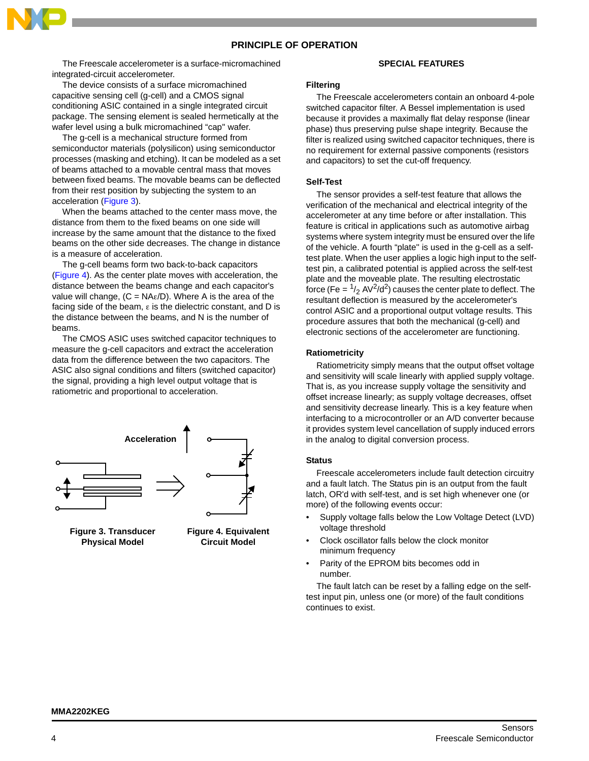# **PRINCIPLE OF OPERATION**

The Freescale accelerometer is a surface-micromachined integrated-circuit accelerometer.

The device consists of a surface micromachined capacitive sensing cell (g-cell) and a CMOS signal conditioning ASIC contained in a single integrated circuit package. The sensing element is sealed hermetically at the wafer level using a bulk micromachined "cap'' wafer.

The g-cell is a mechanical structure formed from semiconductor materials (polysilicon) using semiconductor processes (masking and etching). It can be modeled as a set of beams attached to a movable central mass that moves between fixed beams. The movable beams can be deflected from their rest position by subjecting the system to an acceleration [\(Figure 3](#page-3-0)).

When the beams attached to the center mass move, the distance from them to the fixed beams on one side will increase by the same amount that the distance to the fixed beams on the other side decreases. The change in distance is a measure of acceleration.

The g-cell beams form two back-to-back capacitors [\(Figure 4](#page-3-1)). As the center plate moves with acceleration, the distance between the beams change and each capacitor's value will change,  $(C = NA\varepsilon/D)$ . Where A is the area of the facing side of the beam,  $\varepsilon$  is the dielectric constant, and D is the distance between the beams, and N is the number of beams.

The CMOS ASIC uses switched capacitor techniques to measure the g-cell capacitors and extract the acceleration data from the difference between the two capacitors. The ASIC also signal conditions and filters (switched capacitor) the signal, providing a high level output voltage that is ratiometric and proportional to acceleration.



<span id="page-3-0"></span>**Figure 3. Transducer Physical Model**

<span id="page-3-1"></span>**Figure 4. Equivalent Circuit Model**

#### **SPECIAL FEATURES**

#### **Filtering**

The Freescale accelerometers contain an onboard 4-pole switched capacitor filter. A Bessel implementation is used because it provides a maximally flat delay response (linear phase) thus preserving pulse shape integrity. Because the filter is realized using switched capacitor techniques, there is no requirement for external passive components (resistors and capacitors) to set the cut-off frequency.

#### **Self-Test**

The sensor provides a self-test feature that allows the verification of the mechanical and electrical integrity of the accelerometer at any time before or after installation. This feature is critical in applications such as automotive airbag systems where system integrity must be ensured over the life of the vehicle. A fourth "plate'' is used in the g-cell as a selftest plate. When the user applies a logic high input to the selftest pin, a calibrated potential is applied across the self-test plate and the moveable plate. The resulting electrostatic force (Fe =  $\frac{1}{2}$  AV<sup>2</sup>/d<sup>2</sup>) causes the center plate to deflect. The resultant deflection is measured by the accelerometer's control ASIC and a proportional output voltage results. This procedure assures that both the mechanical (g-cell) and electronic sections of the accelerometer are functioning.

### **Ratiometricity**

Ratiometricity simply means that the output offset voltage and sensitivity will scale linearly with applied supply voltage. That is, as you increase supply voltage the sensitivity and offset increase linearly; as supply voltage decreases, offset and sensitivity decrease linearly. This is a key feature when interfacing to a microcontroller or an A/D converter because it provides system level cancellation of supply induced errors in the analog to digital conversion process.

#### **Status**

Freescale accelerometers include fault detection circuitry and a fault latch. The Status pin is an output from the fault latch, OR'd with self-test, and is set high whenever one (or more) of the following events occur:

- Supply voltage falls below the Low Voltage Detect (LVD) voltage threshold
- Clock oscillator falls below the clock monitor minimum frequency
- Parity of the EPROM bits becomes odd in number.

The fault latch can be reset by a falling edge on the selftest input pin, unless one (or more) of the fault conditions continues to exist.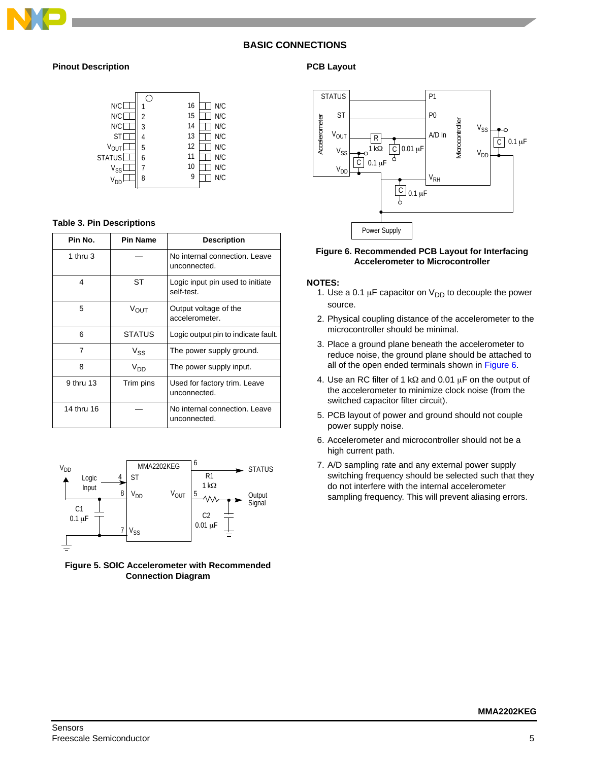

# **BASIC CONNECTIONS**

## **Pinout Description**



## **Table 3. Pin Descriptions**

| Pin No.    | <b>Pin Name</b> | <b>Description</b>                             |
|------------|-----------------|------------------------------------------------|
| 1 thru $3$ |                 | No internal connection. Leave<br>unconnected.  |
| 4          | SТ              | Logic input pin used to initiate<br>self-test. |
| 5          | VOUT            | Output voltage of the<br>accelerometer.        |
| 6          | <b>STATUS</b>   | Logic output pin to indicate fault.            |
| 7          | $V_{SS}$        | The power supply ground.                       |
| 8          | V <sub>DD</sub> | The power supply input.                        |
| 9 thru 13  | Trim pins       | Used for factory trim. Leave<br>unconnected.   |
| 14 thru 16 |                 | No internal connection. Leave<br>unconnected.  |



**Figure 5. SOIC Accelerometer with Recommended Connection Diagram**

## **PCB Layout**



## <span id="page-4-0"></span>**Figure 6. Recommended PCB Layout for Interfacing Accelerometer to Microcontroller**

#### **NOTES:**

- 1. Use a 0.1  $\mu$ F capacitor on V<sub>DD</sub> to decouple the power source.
- 2. Physical coupling distance of the accelerometer to the microcontroller should be minimal.
- 3. Place a ground plane beneath the accelerometer to reduce noise, the ground plane should be attached to all of the open ended terminals shown in [Figure 6.](#page-4-0)
- 4. Use an RC filter of 1 kΩ and 0.01 μF on the output of the accelerometer to minimize clock noise (from the switched capacitor filter circuit).
- 5. PCB layout of power and ground should not couple power supply noise.
- 6. Accelerometer and microcontroller should not be a high current path.
- 7. A/D sampling rate and any external power supply switching frequency should be selected such that they do not interfere with the internal accelerometer sampling frequency. This will prevent aliasing errors.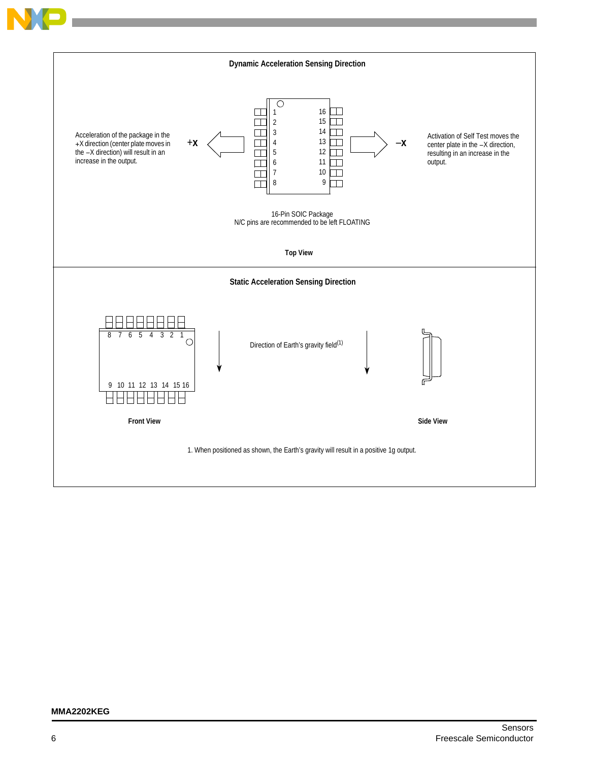

## **MMA2202KEG**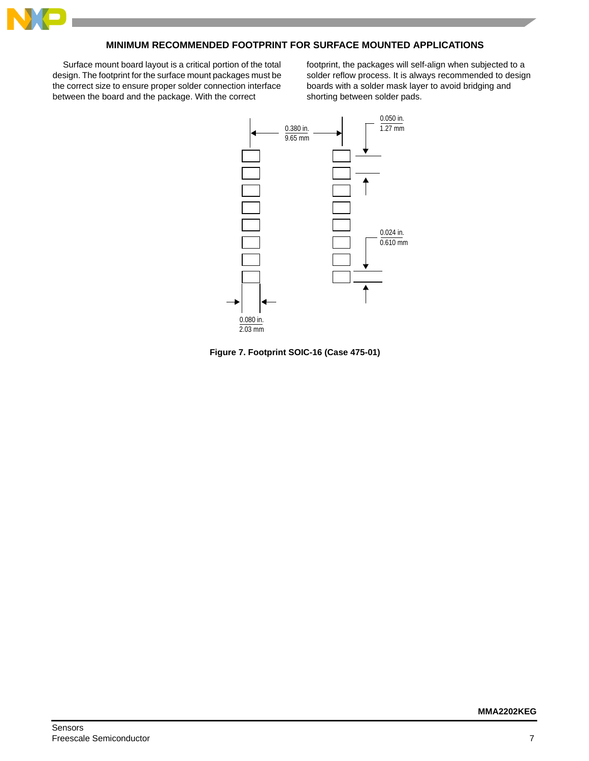

# **MINIMUM RECOMMENDED FOOTPRINT FOR SURFACE MOUNTED APPLICATIONS**

Surface mount board layout is a critical portion of the total design. The footprint for the surface mount packages must be the correct size to ensure proper solder connection interface between the board and the package. With the correct

footprint, the packages will self-align when subjected to a solder reflow process. It is always recommended to design boards with a solder mask layer to avoid bridging and shorting between solder pads.



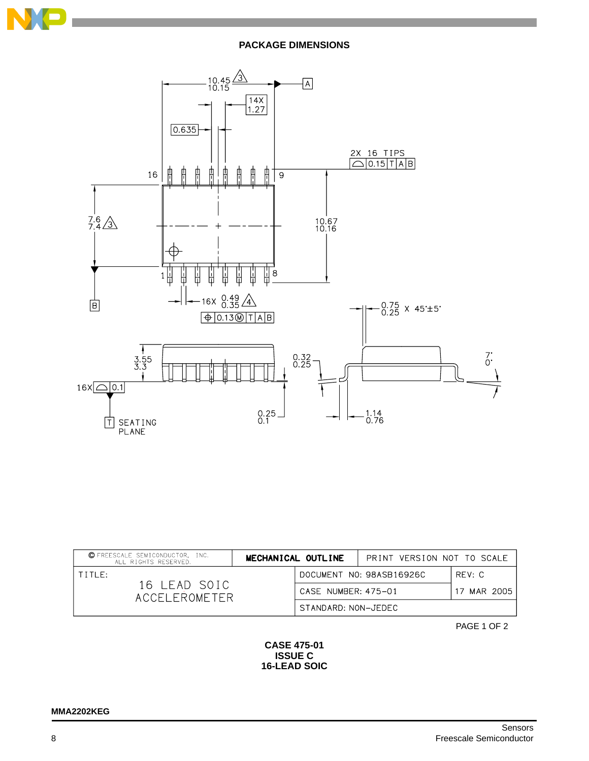

# **PACKAGE DIMENSIONS**



| © FREESCALE SEMICONDUCTOR, INC.<br>ALL RIGHTS RESERVED. | MECHANICAL OUTLINE  | PRINT VERSION NOT TO SCALE |             |
|---------------------------------------------------------|---------------------|----------------------------|-------------|
| $T$ $T$ $T$ $T$ $F$ $t$                                 |                     | DOCUMENT NO: 98ASB16926C   | RFV: C      |
| 16 LEAD SOIC<br>ACCEL FROMETER                          | CASE NUMBER: 475-01 |                            | 17 MAR 2005 |
|                                                         | STANDARD: NON-JEDEC |                            |             |

PAGE 1 OF 2

# **CASE 475-01 ISSUE C 16-LEAD SOIC**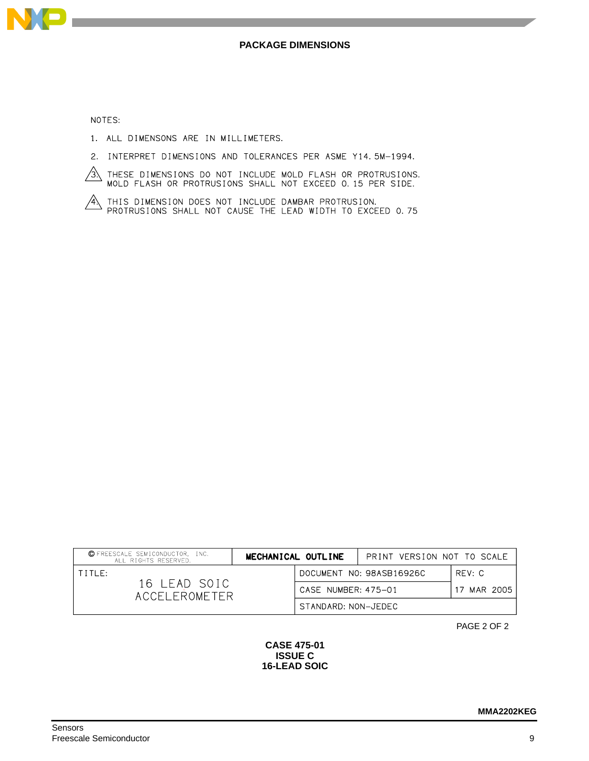

NOTES:

- 1. ALL DIMENSONS ARE IN MILLIMETERS.
- 2. INTERPRET DIMENSIONS AND TOLERANCES PER ASME Y14.5M-1994.
- $\overbrace{3}$  these dimensions do not include mold flash or protrusions.<br>MOLD FLASH OR PROTRUSIONS SHALL NOT EXCEED 0.15 PER SIDE.
- $\overbrace{A}\xspace$  this dimension does not include dambar protrusion.<br>Protrusions shall not cause the LEAD width to exceed 0.75

| © FREESCALE SEMICONDUCTOR, INC.<br>ALL RIGHTS RESERVED. | MECHANICAL OUTLINE |                     | PRINT VERSION NOT TO SCALE |             |
|---------------------------------------------------------|--------------------|---------------------|----------------------------|-------------|
| TTITIF:                                                 |                    |                     | DOCUMENT NO: 98ASB16926C   | RFV: C      |
| 16 LEAD SOIC<br>ACCEL FROMETER                          |                    | CASE NUMBER: 475-01 |                            | 17 MAR 2005 |
|                                                         |                    | STANDARD: NON-JEDEC |                            |             |

PAGE 2 OF 2

# **CASE 475-01 ISSUE C 16-LEAD SOIC**

**MMA2202KEG**